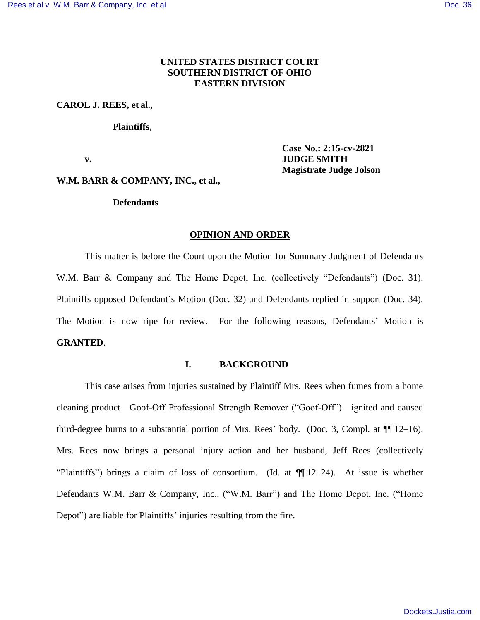# **UNITED STATES DISTRICT COURT SOUTHERN DISTRICT OF OHIO EASTERN DIVISION**

#### **CAROL J. REES, et al.,**

#### **Plaintiffs,**

**Case No.: 2:15-cv-2821 v. JUDGE SMITH Magistrate Judge Jolson** 

# **W.M. BARR & COMPANY, INC., et al.,**

#### **Defendants**

#### **OPINION AND ORDER**

This matter is before the Court upon the Motion for Summary Judgment of Defendants W.M. Barr & Company and The Home Depot, Inc. (collectively "Defendants") (Doc. 31). Plaintiffs opposed Defendant's Motion (Doc. 32) and Defendants replied in support (Doc. 34). The Motion is now ripe for review. For the following reasons, Defendants' Motion is **GRANTED**.

#### **I. BACKGROUND**

This case arises from injuries sustained by Plaintiff Mrs. Rees when fumes from a home cleaning product—Goof-Off Professional Strength Remover ("Goof-Off")—ignited and caused third-degree burns to a substantial portion of Mrs. Rees' body. (Doc. 3, Compl. at ¶¶ 12–16). Mrs. Rees now brings a personal injury action and her husband, Jeff Rees (collectively "Plaintiffs") brings a claim of loss of consortium. (Id. at ¶¶ 12–24). At issue is whether Defendants W.M. Barr & Company, Inc., ("W.M. Barr") and The Home Depot, Inc. ("Home Depot") are liable for Plaintiffs' injuries resulting from the fire.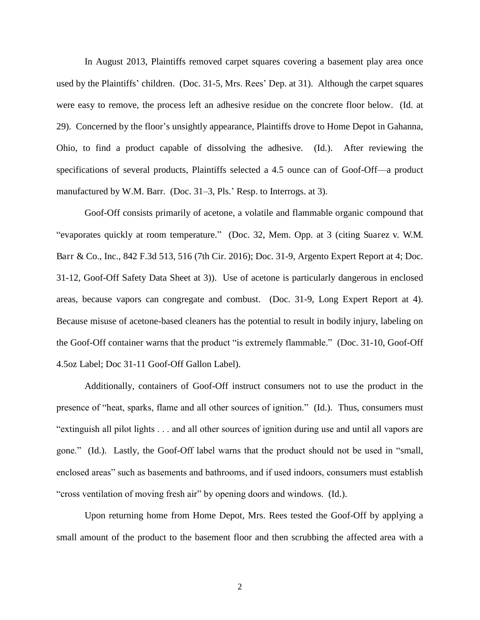In August 2013, Plaintiffs removed carpet squares covering a basement play area once used by the Plaintiffs' children. (Doc. 31-5, Mrs. Rees' Dep. at 31). Although the carpet squares were easy to remove, the process left an adhesive residue on the concrete floor below. (Id. at 29). Concerned by the floor's unsightly appearance, Plaintiffs drove to Home Depot in Gahanna, Ohio, to find a product capable of dissolving the adhesive. (Id.). After reviewing the specifications of several products, Plaintiffs selected a 4.5 ounce can of Goof-Off—a product manufactured by W.M. Barr. (Doc. 31–3, Pls.' Resp. to Interrogs. at 3).

Goof-Off consists primarily of acetone, a volatile and flammable organic compound that "evaporates quickly at room temperature." (Doc. 32, Mem. Opp. at 3 (citing Suarez v. W.M. Barr & Co., Inc., 842 F.3d 513, 516 (7th Cir. 2016); Doc. 31-9, Argento Expert Report at 4; Doc. 31-12, Goof-Off Safety Data Sheet at 3)). Use of acetone is particularly dangerous in enclosed areas, because vapors can congregate and combust. (Doc. 31-9, Long Expert Report at 4). Because misuse of acetone-based cleaners has the potential to result in bodily injury, labeling on the Goof-Off container warns that the product "is extremely flammable." (Doc. 31-10, Goof-Off 4.5oz Label; Doc 31-11 Goof-Off Gallon Label).

Additionally, containers of Goof-Off instruct consumers not to use the product in the presence of "heat, sparks, flame and all other sources of ignition." (Id.). Thus, consumers must "extinguish all pilot lights . . . and all other sources of ignition during use and until all vapors are gone." (Id.). Lastly, the Goof-Off label warns that the product should not be used in "small, enclosed areas" such as basements and bathrooms, and if used indoors, consumers must establish "cross ventilation of moving fresh air" by opening doors and windows. (Id.).

Upon returning home from Home Depot, Mrs. Rees tested the Goof-Off by applying a small amount of the product to the basement floor and then scrubbing the affected area with a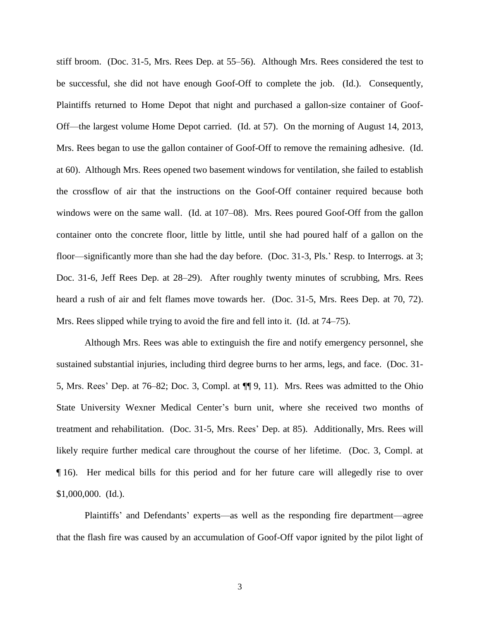stiff broom. (Doc. 31-5, Mrs. Rees Dep. at 55–56). Although Mrs. Rees considered the test to be successful, she did not have enough Goof-Off to complete the job. (Id.). Consequently, Plaintiffs returned to Home Depot that night and purchased a gallon-size container of Goof-Off—the largest volume Home Depot carried. (Id. at 57). On the morning of August 14, 2013, Mrs. Rees began to use the gallon container of Goof-Off to remove the remaining adhesive. (Id. at 60). Although Mrs. Rees opened two basement windows for ventilation, she failed to establish the crossflow of air that the instructions on the Goof-Off container required because both windows were on the same wall. (Id. at 107–08). Mrs. Rees poured Goof-Off from the gallon container onto the concrete floor, little by little, until she had poured half of a gallon on the floor—significantly more than she had the day before. (Doc. 31-3, Pls.' Resp. to Interrogs. at 3; Doc. 31-6, Jeff Rees Dep. at 28–29). After roughly twenty minutes of scrubbing, Mrs. Rees heard a rush of air and felt flames move towards her. (Doc. 31-5, Mrs. Rees Dep. at 70, 72). Mrs. Rees slipped while trying to avoid the fire and fell into it. (Id. at 74–75).

Although Mrs. Rees was able to extinguish the fire and notify emergency personnel, she sustained substantial injuries, including third degree burns to her arms, legs, and face. (Doc. 31- 5, Mrs. Rees' Dep. at 76–82; Doc. 3, Compl. at ¶¶ 9, 11). Mrs. Rees was admitted to the Ohio State University Wexner Medical Center's burn unit, where she received two months of treatment and rehabilitation. (Doc. 31-5, Mrs. Rees' Dep. at 85). Additionally, Mrs. Rees will likely require further medical care throughout the course of her lifetime. (Doc. 3, Compl. at ¶ 16). Her medical bills for this period and for her future care will allegedly rise to over \$1,000,000. (Id.).

Plaintiffs' and Defendants' experts—as well as the responding fire department—agree that the flash fire was caused by an accumulation of Goof-Off vapor ignited by the pilot light of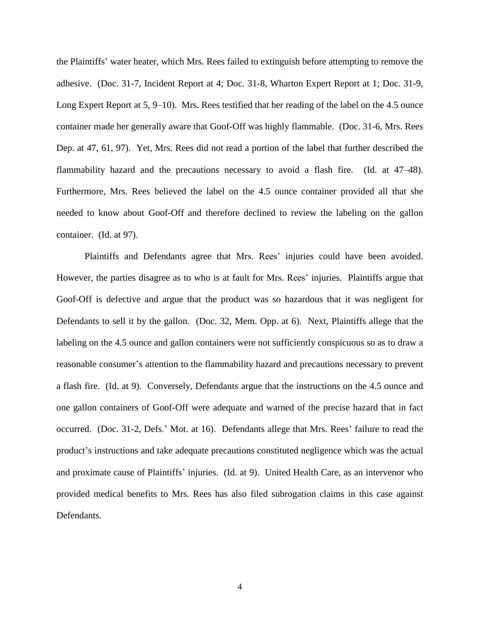the Plaintiffs' water heater, which Mrs. Rees failed to extinguish before attempting to remove the adhesive. (Doc. 31-7, Incident Report at 4; Doc. 31-8, Wharton Expert Report at 1; Doc. 31-9, Long Expert Report at 5, 9–10). Mrs. Rees testified that her reading of the label on the 4.5 ounce container made her generally aware that Goof-Off was highly flammable. (Doc. 31-6, Mrs. Rees Dep. at 47, 61, 97). Yet, Mrs. Rees did not read a portion of the label that further described the flammability hazard and the precautions necessary to avoid a flash fire. (Id. at 47–48). Furthermore, Mrs. Rees believed the label on the 4.5 ounce container provided all that she needed to know about Goof-Off and therefore declined to review the labeling on the gallon container. (Id. at 97).

Plaintiffs and Defendants agree that Mrs. Rees' injuries could have been avoided. However, the parties disagree as to who is at fault for Mrs. Rees' injuries. Plaintiffs argue that Goof-Off is defective and argue that the product was so hazardous that it was negligent for Defendants to sell it by the gallon. (Doc. 32, Mem. Opp. at 6). Next, Plaintiffs allege that the labeling on the 4.5 ounce and gallon containers were not sufficiently conspicuous so as to draw a reasonable consumer's attention to the flammability hazard and precautions necessary to prevent a flash fire. (Id. at 9). Conversely, Defendants argue that the instructions on the 4.5 ounce and one gallon containers of Goof-Off were adequate and warned of the precise hazard that in fact occurred. (Doc. 31-2, Defs.' Mot. at 16). Defendants allege that Mrs. Rees' failure to read the product's instructions and take adequate precautions constituted negligence which was the actual and proximate cause of Plaintiffs' injuries. (Id. at 9). United Health Care, as an intervenor who provided medical benefits to Mrs. Rees has also filed subrogation claims in this case against Defendants.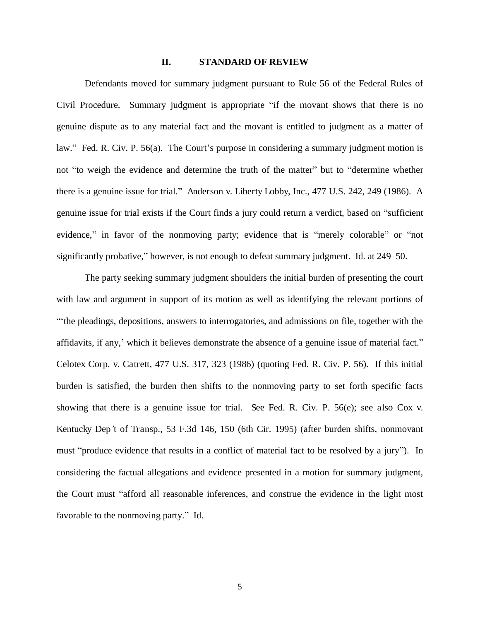## **II. STANDARD OF REVIEW**

Defendants moved for summary judgment pursuant to Rule 56 of the Federal Rules of Civil Procedure. Summary judgment is appropriate "if the movant shows that there is no genuine dispute as to any material fact and the movant is entitled to judgment as a matter of law." Fed. R. Civ. P. 56(a). The Court's purpose in considering a summary judgment motion is not "to weigh the evidence and determine the truth of the matter" but to "determine whether there is a genuine issue for trial." Anderson v. Liberty Lobby, Inc., 477 U.S. 242, 249 (1986). A genuine issue for trial exists if the Court finds a jury could return a verdict, based on "sufficient evidence," in favor of the nonmoving party; evidence that is "merely colorable" or "not significantly probative," however, is not enough to defeat summary judgment. Id. at 249–50.

The party seeking summary judgment shoulders the initial burden of presenting the court with law and argument in support of its motion as well as identifying the relevant portions of "'the pleadings, depositions, answers to interrogatories, and admissions on file, together with the affidavits, if any,' which it believes demonstrate the absence of a genuine issue of material fact." Celotex Corp. v. Catrett, 477 U.S. 317, 323 (1986) (quoting Fed. R. Civ. P. 56). If this initial burden is satisfied, the burden then shifts to the nonmoving party to set forth specific facts showing that there is a genuine issue for trial. See Fed. R. Civ. P. 56(e); see also Cox v. Kentucky Dep*'*t of Transp., 53 F.3d 146, 150 (6th Cir. 1995) (after burden shifts, nonmovant must "produce evidence that results in a conflict of material fact to be resolved by a jury"). In considering the factual allegations and evidence presented in a motion for summary judgment, the Court must "afford all reasonable inferences, and construe the evidence in the light most favorable to the nonmoving party." Id.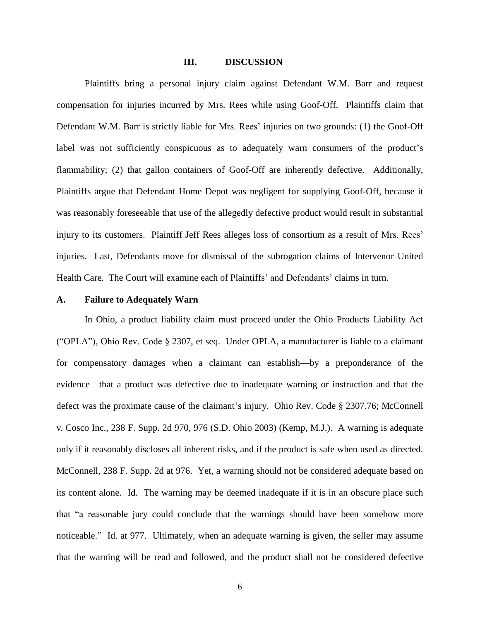#### **III. DISCUSSION**

Plaintiffs bring a personal injury claim against Defendant W.M. Barr and request compensation for injuries incurred by Mrs. Rees while using Goof-Off. Plaintiffs claim that Defendant W.M. Barr is strictly liable for Mrs. Rees' injuries on two grounds: (1) the Goof-Off label was not sufficiently conspicuous as to adequately warn consumers of the product's flammability; (2) that gallon containers of Goof-Off are inherently defective. Additionally, Plaintiffs argue that Defendant Home Depot was negligent for supplying Goof-Off, because it was reasonably foreseeable that use of the allegedly defective product would result in substantial injury to its customers. Plaintiff Jeff Rees alleges loss of consortium as a result of Mrs. Rees' injuries. Last, Defendants move for dismissal of the subrogation claims of Intervenor United Health Care. The Court will examine each of Plaintiffs' and Defendants' claims in turn.

# **A. Failure to Adequately Warn**

In Ohio, a product liability claim must proceed under the Ohio Products Liability Act ("OPLA"), Ohio Rev. Code § 2307, et seq. Under OPLA, a manufacturer is liable to a claimant for compensatory damages when a claimant can establish—by a preponderance of the evidence—that a product was defective due to inadequate warning or instruction and that the defect was the proximate cause of the claimant's injury. Ohio Rev. Code § 2307.76; McConnell v. Cosco Inc., 238 F. Supp. 2d 970, 976 (S.D. Ohio 2003) (Kemp, M.J.). A warning is adequate only if it reasonably discloses all inherent risks, and if the product is safe when used as directed. McConnell, 238 F. Supp. 2d at 976. Yet, a warning should not be considered adequate based on its content alone. Id. The warning may be deemed inadequate if it is in an obscure place such that "a reasonable jury could conclude that the warnings should have been somehow more noticeable." Id. at 977. Ultimately, when an adequate warning is given, the seller may assume that the warning will be read and followed, and the product shall not be considered defective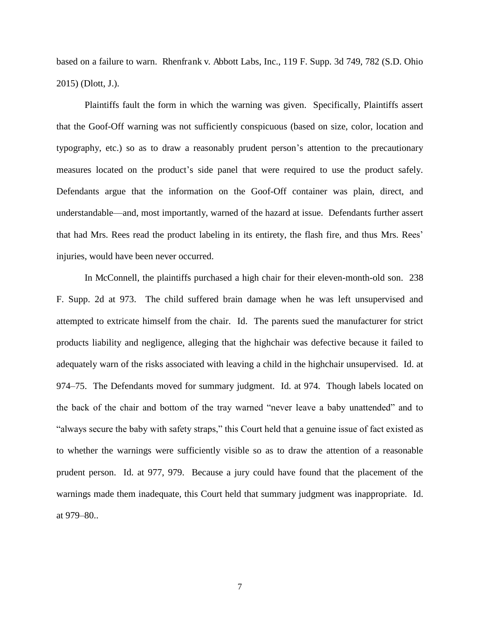based on a failure to warn. Rhenfrank v. Abbott Labs, Inc., 119 F. Supp. 3d 749, 782 (S.D. Ohio 2015) (Dlott, J.).

Plaintiffs fault the form in which the warning was given. Specifically, Plaintiffs assert that the Goof-Off warning was not sufficiently conspicuous (based on size, color, location and typography, etc.) so as to draw a reasonably prudent person's attention to the precautionary measures located on the product's side panel that were required to use the product safely. Defendants argue that the information on the Goof-Off container was plain, direct, and understandable—and, most importantly, warned of the hazard at issue. Defendants further assert that had Mrs. Rees read the product labeling in its entirety, the flash fire, and thus Mrs. Rees' injuries, would have been never occurred.

In McConnell, the plaintiffs purchased a high chair for their eleven-month-old son. 238 F. Supp. 2d at 973. The child suffered brain damage when he was left unsupervised and attempted to extricate himself from the chair. Id. The parents sued the manufacturer for strict products liability and negligence, alleging that the highchair was defective because it failed to adequately warn of the risks associated with leaving a child in the highchair unsupervised. Id. at 974–75. The Defendants moved for summary judgment. Id. at 974. Though labels located on the back of the chair and bottom of the tray warned "never leave a baby unattended" and to "always secure the baby with safety straps," this Court held that a genuine issue of fact existed as to whether the warnings were sufficiently visible so as to draw the attention of a reasonable prudent person. Id. at 977, 979. Because a jury could have found that the placement of the warnings made them inadequate, this Court held that summary judgment was inappropriate. Id. at 979–80..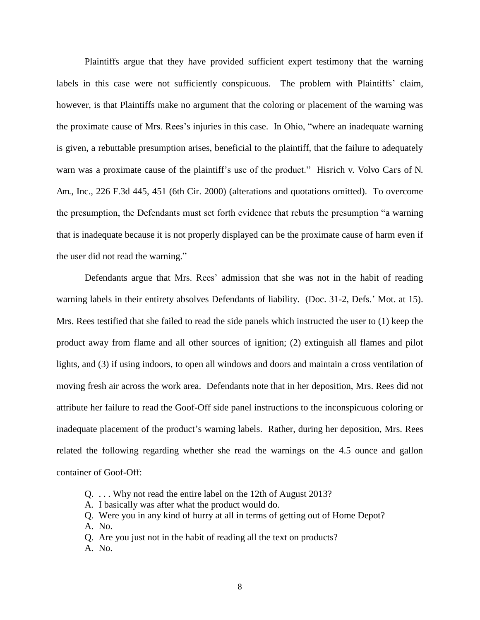Plaintiffs argue that they have provided sufficient expert testimony that the warning labels in this case were not sufficiently conspicuous. The problem with Plaintiffs' claim, however, is that Plaintiffs make no argument that the coloring or placement of the warning was the proximate cause of Mrs. Rees's injuries in this case. In Ohio, "where an inadequate warning is given, a rebuttable presumption arises, beneficial to the plaintiff, that the failure to adequately warn was a proximate cause of the plaintiff's use of the product." Hisrich v. Volvo Cars of N. Am., Inc., 226 F.3d 445, 451 (6th Cir. 2000) (alterations and quotations omitted). To overcome the presumption, the Defendants must set forth evidence that rebuts the presumption "a warning that is inadequate because it is not properly displayed can be the proximate cause of harm even if the user did not read the warning."

Defendants argue that Mrs. Rees' admission that she was not in the habit of reading warning labels in their entirety absolves Defendants of liability. (Doc. 31-2, Defs.' Mot. at 15). Mrs. Rees testified that she failed to read the side panels which instructed the user to (1) keep the product away from flame and all other sources of ignition; (2) extinguish all flames and pilot lights, and (3) if using indoors, to open all windows and doors and maintain a cross ventilation of moving fresh air across the work area. Defendants note that in her deposition, Mrs. Rees did not attribute her failure to read the Goof-Off side panel instructions to the inconspicuous coloring or inadequate placement of the product's warning labels. Rather, during her deposition, Mrs. Rees related the following regarding whether she read the warnings on the 4.5 ounce and gallon container of Goof-Off:

- Q. . . . Why not read the entire label on the 12th of August 2013?
- A. I basically was after what the product would do.
- Q. Were you in any kind of hurry at all in terms of getting out of Home Depot?
- A. No.
- Q. Are you just not in the habit of reading all the text on products?
- A. No.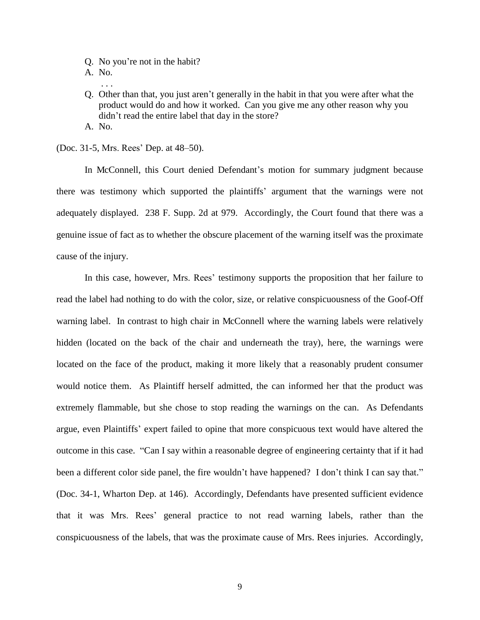- Q. No you're not in the habit?
- A. No.
- . . .
- Q. Other than that, you just aren't generally in the habit in that you were after what the product would do and how it worked. Can you give me any other reason why you didn't read the entire label that day in the store? A. No.

(Doc. 31-5, Mrs. Rees' Dep. at 48–50).

In McConnell, this Court denied Defendant's motion for summary judgment because there was testimony which supported the plaintiffs' argument that the warnings were not adequately displayed. 238 F. Supp. 2d at 979. Accordingly, the Court found that there was a genuine issue of fact as to whether the obscure placement of the warning itself was the proximate cause of the injury.

In this case, however, Mrs. Rees' testimony supports the proposition that her failure to read the label had nothing to do with the color, size, or relative conspicuousness of the Goof-Off warning label. In contrast to high chair in McConnell where the warning labels were relatively hidden (located on the back of the chair and underneath the tray), here, the warnings were located on the face of the product, making it more likely that a reasonably prudent consumer would notice them. As Plaintiff herself admitted, the can informed her that the product was extremely flammable, but she chose to stop reading the warnings on the can. As Defendants argue, even Plaintiffs' expert failed to opine that more conspicuous text would have altered the outcome in this case. "Can I say within a reasonable degree of engineering certainty that if it had been a different color side panel, the fire wouldn't have happened? I don't think I can say that." (Doc. 34-1, Wharton Dep. at 146). Accordingly, Defendants have presented sufficient evidence that it was Mrs. Rees' general practice to not read warning labels, rather than the conspicuousness of the labels, that was the proximate cause of Mrs. Rees injuries. Accordingly,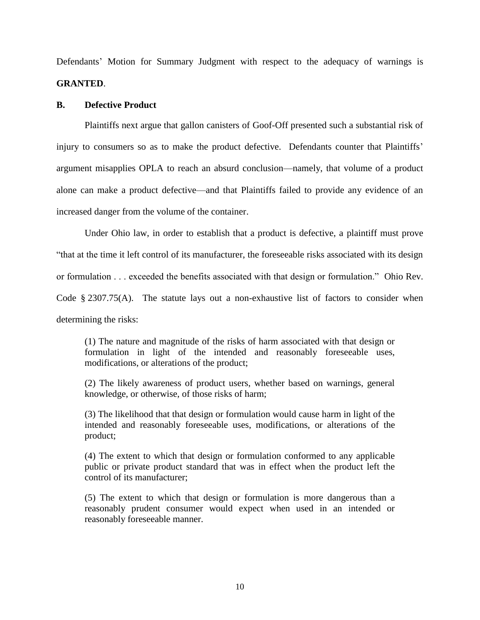Defendants' Motion for Summary Judgment with respect to the adequacy of warnings is **GRANTED**.

## **B. Defective Product**

Plaintiffs next argue that gallon canisters of Goof-Off presented such a substantial risk of injury to consumers so as to make the product defective. Defendants counter that Plaintiffs' argument misapplies OPLA to reach an absurd conclusion—namely, that volume of a product alone can make a product defective—and that Plaintiffs failed to provide any evidence of an increased danger from the volume of the container.

Under Ohio law, in order to establish that a product is defective, a plaintiff must prove "that at the time it left control of its manufacturer, the foreseeable risks associated with its design or formulation . . . exceeded the benefits associated with that design or formulation." Ohio Rev. Code § 2307.75(A). The statute lays out a non-exhaustive list of factors to consider when determining the risks:

(1) The nature and magnitude of the risks of harm associated with that design or formulation in light of the intended and reasonably foreseeable uses, modifications, or alterations of the product;

(2) The likely awareness of product users, whether based on warnings, general knowledge, or otherwise, of those risks of harm;

(3) The likelihood that that design or formulation would cause harm in light of the intended and reasonably foreseeable uses, modifications, or alterations of the product;

(4) The extent to which that design or formulation conformed to any applicable public or private product standard that was in effect when the product left the control of its manufacturer;

(5) The extent to which that design or formulation is more dangerous than a reasonably prudent consumer would expect when used in an intended or reasonably foreseeable manner.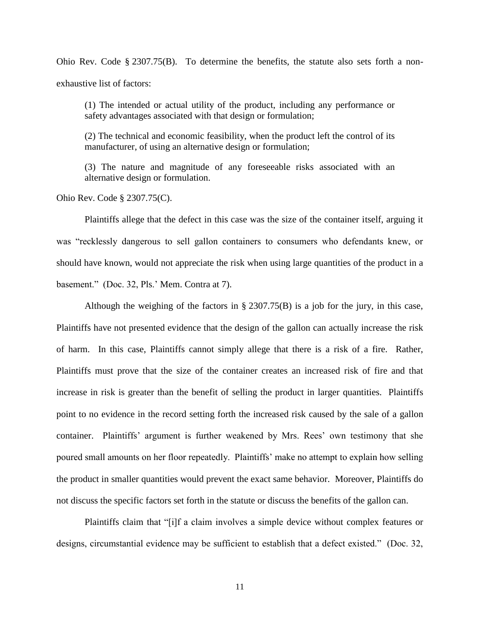Ohio Rev. Code § 2307.75(B). To determine the benefits, the statute also sets forth a nonexhaustive list of factors:

(1) The intended or actual utility of the product, including any performance or safety advantages associated with that design or formulation;

(2) The technical and economic feasibility, when the product left the control of its manufacturer, of using an alternative design or formulation;

(3) The nature and magnitude of any foreseeable risks associated with an alternative design or formulation.

Ohio Rev. Code § 2307.75(C).

Plaintiffs allege that the defect in this case was the size of the container itself, arguing it was "recklessly dangerous to sell gallon containers to consumers who defendants knew, or should have known, would not appreciate the risk when using large quantities of the product in a basement." (Doc. 32, Pls.' Mem. Contra at 7).

Although the weighing of the factors in § 2307.75(B) is a job for the jury, in this case, Plaintiffs have not presented evidence that the design of the gallon can actually increase the risk of harm. In this case, Plaintiffs cannot simply allege that there is a risk of a fire. Rather, Plaintiffs must prove that the size of the container creates an increased risk of fire and that increase in risk is greater than the benefit of selling the product in larger quantities. Plaintiffs point to no evidence in the record setting forth the increased risk caused by the sale of a gallon container. Plaintiffs' argument is further weakened by Mrs. Rees' own testimony that she poured small amounts on her floor repeatedly. Plaintiffs' make no attempt to explain how selling the product in smaller quantities would prevent the exact same behavior. Moreover, Plaintiffs do not discuss the specific factors set forth in the statute or discuss the benefits of the gallon can.

Plaintiffs claim that "[i]f a claim involves a simple device without complex features or designs, circumstantial evidence may be sufficient to establish that a defect existed." (Doc. 32,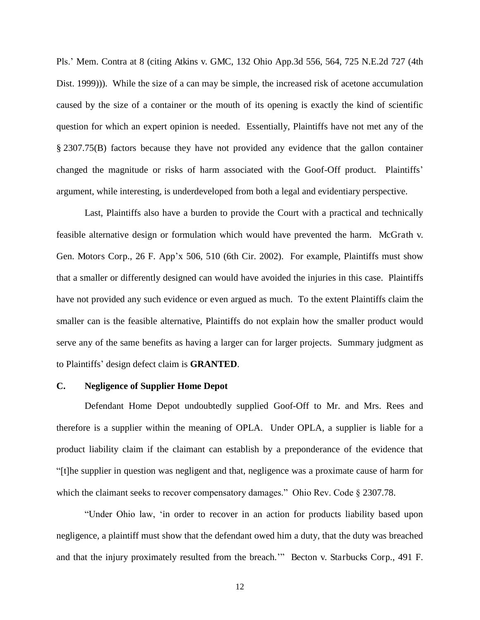Pls.' Mem. Contra at 8 (citing Atkins v. GMC, 132 Ohio App.3d 556, 564, 725 N.E.2d 727 (4th Dist. 1999))). While the size of a can may be simple, the increased risk of acetone accumulation caused by the size of a container or the mouth of its opening is exactly the kind of scientific question for which an expert opinion is needed. Essentially, Plaintiffs have not met any of the § 2307.75(B) factors because they have not provided any evidence that the gallon container changed the magnitude or risks of harm associated with the Goof-Off product. Plaintiffs' argument, while interesting, is underdeveloped from both a legal and evidentiary perspective.

Last, Plaintiffs also have a burden to provide the Court with a practical and technically feasible alternative design or formulation which would have prevented the harm. McGrath v. Gen. Motors Corp., 26 F. App'x 506, 510 (6th Cir. 2002). For example, Plaintiffs must show that a smaller or differently designed can would have avoided the injuries in this case. Plaintiffs have not provided any such evidence or even argued as much. To the extent Plaintiffs claim the smaller can is the feasible alternative, Plaintiffs do not explain how the smaller product would serve any of the same benefits as having a larger can for larger projects. Summary judgment as to Plaintiffs' design defect claim is **GRANTED**.

#### **C. Negligence of Supplier Home Depot**

Defendant Home Depot undoubtedly supplied Goof-Off to Mr. and Mrs. Rees and therefore is a supplier within the meaning of OPLA. Under OPLA, a supplier is liable for a product liability claim if the claimant can establish by a preponderance of the evidence that "[t]he supplier in question was negligent and that, negligence was a proximate cause of harm for which the claimant seeks to recover compensatory damages." Ohio Rev. Code § 2307.78.

"Under Ohio law, 'in order to recover in an action for products liability based upon negligence, a plaintiff must show that the defendant owed him a duty, that the duty was breached and that the injury proximately resulted from the breach.'" Becton v. Starbucks Corp., 491 F.